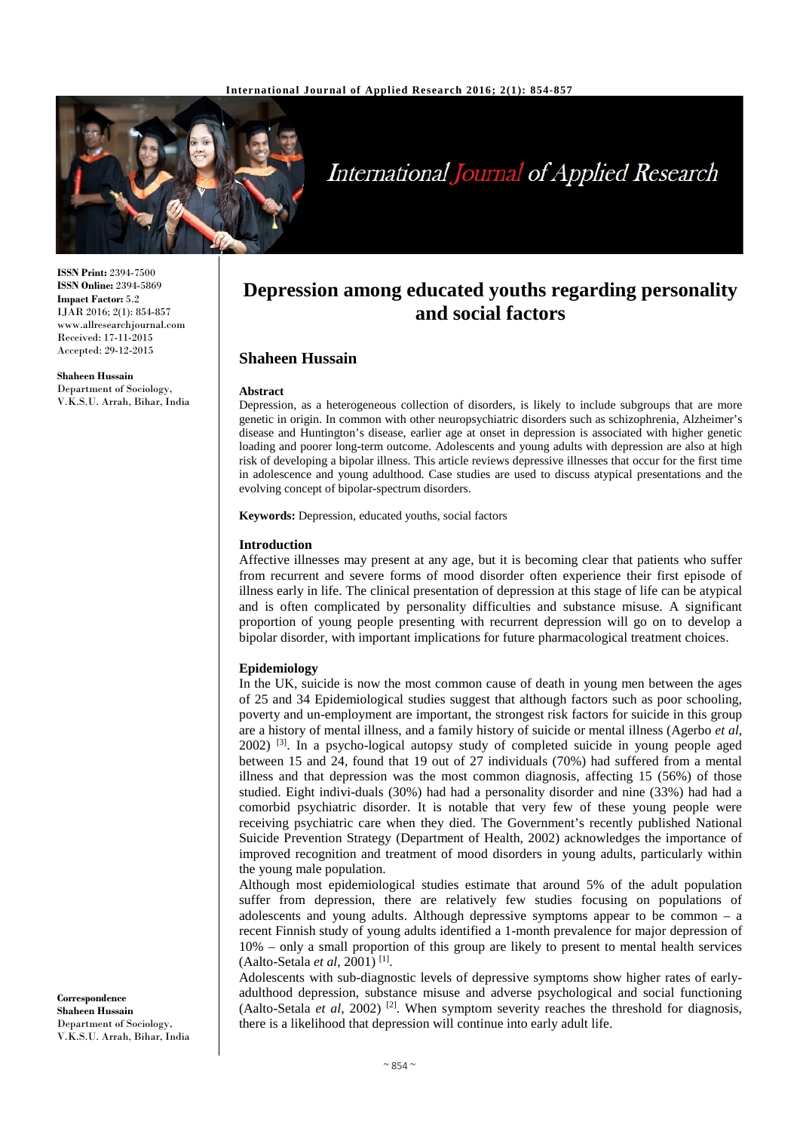

# International Journal of Applied Research

**ISSN Print:** 2394-7500 **ISSN Online:** 2394-5869 **Impact Factor:** 5.2 IJAR 2016; 2(1): 854-857 www.allresearchjournal.com Received: 17-11-2015 Accepted: 29-12-2015

**Shaheen Hussain** Department of Sociology, V.K.S.U. Arrah, Bihar, India

# **Depression among educated youths regarding personality and social factors**

# **Shaheen Hussain**

#### **Abstract**

Depression, as a heterogeneous collection of disorders, is likely to include subgroups that are more genetic in origin. In common with other neuropsychiatric disorders such as schizophrenia, Alzheimer's disease and Huntington's disease, earlier age at onset in depression is associated with higher genetic loading and poorer long-term outcome. Adolescents and young adults with depression are also at high risk of developing a bipolar illness. This article reviews depressive illnesses that occur for the first time in adolescence and young adulthood. Case studies are used to discuss atypical presentations and the evolving concept of bipolar-spectrum disorders.

**Keywords:** Depression, educated youths, social factors

#### **Introduction**

Affective illnesses may present at any age, but it is becoming clear that patients who suffer from recurrent and severe forms of mood disorder often experience their first episode of illness early in life. The clinical presentation of depression at this stage of life can be atypical and is often complicated by personality difficulties and substance misuse. A significant proportion of young people presenting with recurrent depression will go on to develop a bipolar disorder, with important implications for future pharmacological treatment choices.

# **Epidemiology**

In the UK, suicide is now the most common cause of death in young men between the ages of 25 and 34 Epidemiological studies suggest that although factors such as poor schooling, poverty and un-employment are important, the strongest risk factors for suicide in this group are a history of mental illness, and a family history of suicide or mental illness (Agerbo *et al*,  $2002$ ) <sup>[3]</sup>. In a psycho-logical autopsy study of completed suicide in young people aged between 15 and 24, found that 19 out of 27 individuals (70%) had suffered from a mental illness and that depression was the most common diagnosis, affecting 15 (56%) of those studied. Eight indivi-duals (30%) had had a personality disorder and nine (33%) had had a comorbid psychiatric disorder. It is notable that very few of these young people were receiving psychiatric care when they died. The Government's recently published National Suicide Prevention Strategy (Department of Health, 2002) acknowledges the importance of improved recognition and treatment of mood disorders in young adults, particularly within the young male population.

Although most epidemiological studies estimate that around 5% of the adult population suffer from depression, there are relatively few studies focusing on populations of adolescents and young adults. Although depressive symptoms appear to be common  $-$  a recent Finnish study of young adults identified a 1-month prevalence for major depression of 10% – only a small proportion of this group are likely to present to mental health services (Aalto-Setala *et al*, 2001) [1].

Adolescents with sub-diagnostic levels of depressive symptoms show higher rates of earlyadulthood depression, substance misuse and adverse psychological and social functioning (Aalto-Setala *et al*, 2002) [2] . When symptom severity reaches the threshold for diagnosis, there is a likelihood that depression will continue into early adult life.

**Correspondence Shaheen Hussain** Department of Sociology, V.K.S.U. Arrah, Bihar, India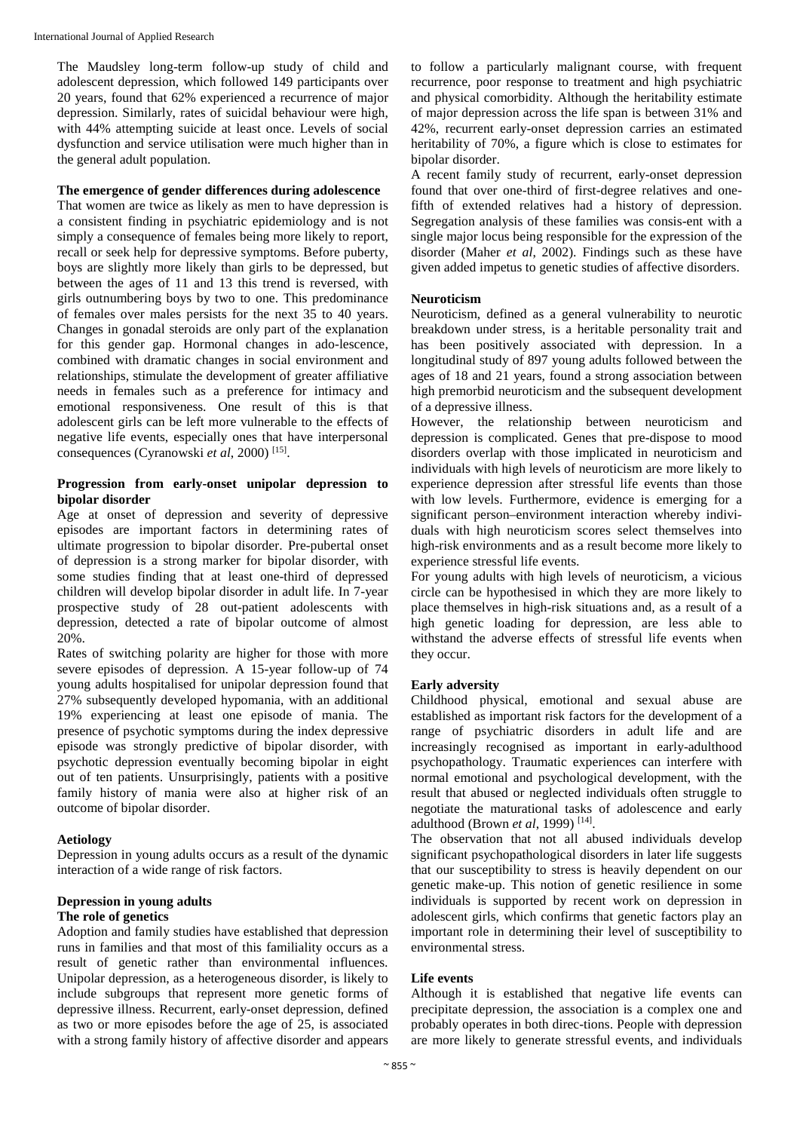The Maudsley long-term follow-up study of child and adolescent depression, which followed 149 participants over 20 years, found that 62% experienced a recurrence of major depression. Similarly, rates of suicidal behaviour were high, with 44% attempting suicide at least once. Levels of social dysfunction and service utilisation were much higher than in the general adult population.

# **The emergence of gender differences during adolescence**

That women are twice as likely as men to have depression is a consistent finding in psychiatric epidemiology and is not simply a consequence of females being more likely to report, recall or seek help for depressive symptoms. Before puberty, boys are slightly more likely than girls to be depressed, but between the ages of 11 and 13 this trend is reversed, with girls outnumbering boys by two to one. This predominance of females over males persists for the next 35 to 40 years. Changes in gonadal steroids are only part of the explanation for this gender gap. Hormonal changes in ado-lescence, combined with dramatic changes in social environment and relationships, stimulate the development of greater affiliative needs in females such as a preference for intimacy and emotional responsiveness. One result of this is that adolescent girls can be left more vulnerable to the effects of negative life events, especially ones that have interpersonal consequences (Cyranowski *et al*, 2000) [15].

# **Progression from early-onset unipolar depression to bipolar disorder**

Age at onset of depression and severity of depressive episodes are important factors in determining rates of ultimate progression to bipolar disorder. Pre-pubertal onset of depression is a strong marker for bipolar disorder, with some studies finding that at least one-third of depressed children will develop bipolar disorder in adult life. In 7-year prospective study of 28 out-patient adolescents with depression, detected a rate of bipolar outcome of almost 20%.

Rates of switching polarity are higher for those with more severe episodes of depression. A 15-year follow-up of 74 young adults hospitalised for unipolar depression found that 27% subsequently developed hypomania, with an additional 19% experiencing at least one episode of mania. The presence of psychotic symptoms during the index depressive episode was strongly predictive of bipolar disorder, with psychotic depression eventually becoming bipolar in eight out of ten patients. Unsurprisingly, patients with a positive family history of mania were also at higher risk of an outcome of bipolar disorder.

# **Aetiology**

Depression in young adults occurs as a result of the dynamic interaction of a wide range of risk factors.

# **Depression in young adults**

# **The role of genetics**

Adoption and family studies have established that depression runs in families and that most of this familiality occurs as a result of genetic rather than environmental influences. Unipolar depression, as a heterogeneous disorder, is likely to include subgroups that represent more genetic forms of depressive illness. Recurrent, early-onset depression, defined as two or more episodes before the age of 25, is associated with a strong family history of affective disorder and appears

to follow a particularly malignant course, with frequent recurrence, poor response to treatment and high psychiatric and physical comorbidity. Although the heritability estimate of major depression across the life span is between 31% and 42%, recurrent early-onset depression carries an estimated heritability of 70%, a figure which is close to estimates for bipolar disorder.

A recent family study of recurrent, early-onset depression found that over one-third of first-degree relatives and onefifth of extended relatives had a history of depression. Segregation analysis of these families was consis-ent with a single major locus being responsible for the expression of the disorder (Maher *et al*, 2002). Findings such as these have given added impetus to genetic studies of affective disorders.

# **Neuroticism**

Neuroticism, defined as a general vulnerability to neurotic breakdown under stress, is a heritable personality trait and has been positively associated with depression. In a longitudinal study of 897 young adults followed between the ages of 18 and 21 years, found a strong association between high premorbid neuroticism and the subsequent development of a depressive illness.

However, the relationship between neuroticism and depression is complicated. Genes that pre-dispose to mood disorders overlap with those implicated in neuroticism and individuals with high levels of neuroticism are more likely to experience depression after stressful life events than those with low levels. Furthermore, evidence is emerging for a significant person–environment interaction whereby individuals with high neuroticism scores select themselves into high-risk environments and as a result become more likely to experience stressful life events.

For young adults with high levels of neuroticism, a vicious circle can be hypothesised in which they are more likely to place themselves in high-risk situations and, as a result of a high genetic loading for depression, are less able to withstand the adverse effects of stressful life events when they occur.

# **Early adversity**

Childhood physical, emotional and sexual abuse are established as important risk factors for the development of a range of psychiatric disorders in adult life and are increasingly recognised as important in early-adulthood psychopathology. Traumatic experiences can interfere with normal emotional and psychological development, with the result that abused or neglected individuals often struggle to negotiate the maturational tasks of adolescence and early adulthood (Brown *et al*, 1999) [14].

The observation that not all abused individuals develop significant psychopathological disorders in later life suggests that our susceptibility to stress is heavily dependent on our genetic make-up. This notion of genetic resilience in some individuals is supported by recent work on depression in adolescent girls, which confirms that genetic factors play an important role in determining their level of susceptibility to environmental stress.

# **Life events**

Although it is established that negative life events can precipitate depression, the association is a complex one and probably operates in both direc-tions. People with depression are more likely to generate stressful events, and individuals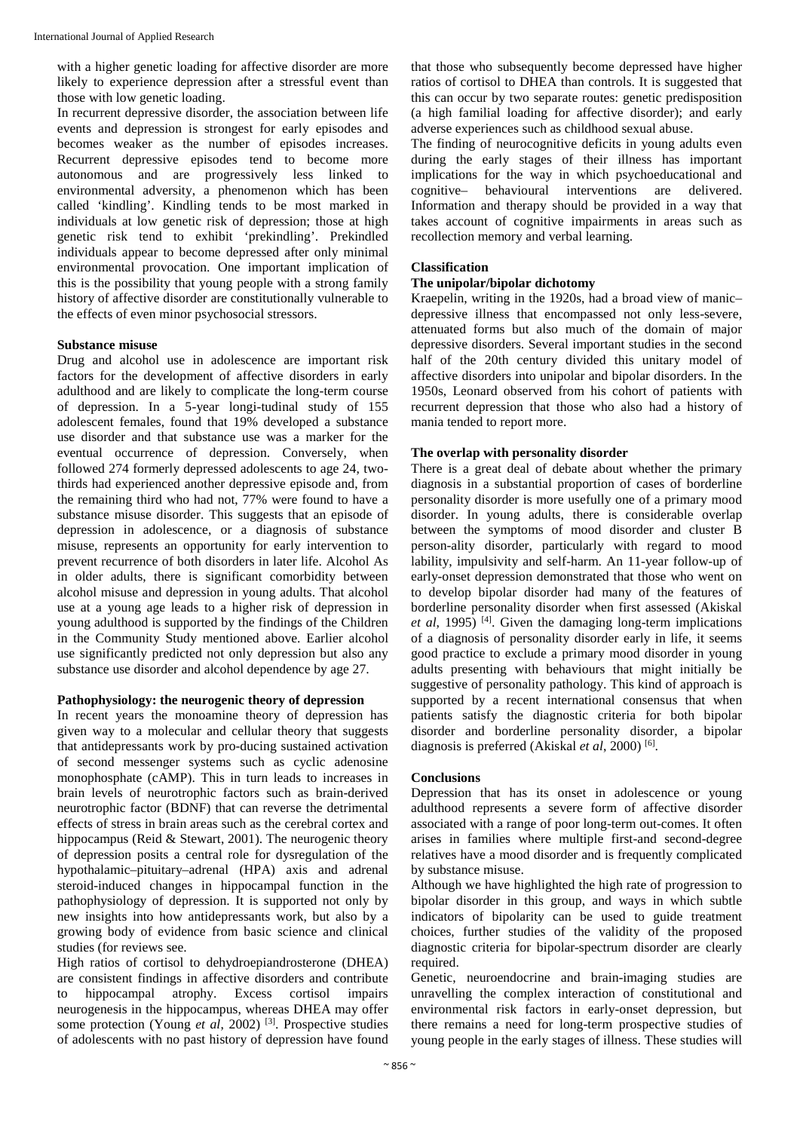with a higher genetic loading for affective disorder are more likely to experience depression after a stressful event than those with low genetic loading.

In recurrent depressive disorder, the association between life events and depression is strongest for early episodes and becomes weaker as the number of episodes increases. Recurrent depressive episodes tend to become more autonomous and are progressively less linked to environmental adversity, a phenomenon which has been called 'kindling'. Kindling tends to be most marked in individuals at low genetic risk of depression; those at high genetic risk tend to exhibit 'prekindling'. Prekindled individuals appear to become depressed after only minimal environmental provocation. One important implication of this is the possibility that young people with a strong family history of affective disorder are constitutionally vulnerable to the effects of even minor psychosocial stressors.

# **Substance misuse**

Drug and alcohol use in adolescence are important risk factors for the development of affective disorders in early adulthood and are likely to complicate the long-term course of depression. In a 5-year longi-tudinal study of 155 adolescent females, found that 19% developed a substance use disorder and that substance use was a marker for the eventual occurrence of depression. Conversely, when followed 274 formerly depressed adolescents to age 24, twothirds had experienced another depressive episode and, from the remaining third who had not, 77% were found to have a substance misuse disorder. This suggests that an episode of depression in adolescence, or a diagnosis of substance misuse, represents an opportunity for early intervention to prevent recurrence of both disorders in later life. Alcohol As in older adults, there is significant comorbidity between alcohol misuse and depression in young adults. That alcohol use at a young age leads to a higher risk of depression in young adulthood is supported by the findings of the Children in the Community Study mentioned above. Earlier alcohol use significantly predicted not only depression but also any substance use disorder and alcohol dependence by age 27.

# **Pathophysiology: the neurogenic theory of depression**

In recent years the monoamine theory of depression has given way to a molecular and cellular theory that suggests that antidepressants work by pro-ducing sustained activation of second messenger systems such as cyclic adenosine monophosphate (cAMP). This in turn leads to increases in brain levels of neurotrophic factors such as brain-derived neurotrophic factor (BDNF) that can reverse the detrimental effects of stress in brain areas such as the cerebral cortex and hippocampus (Reid & Stewart, 2001). The neurogenic theory of depression posits a central role for dysregulation of the hypothalamic–pituitary–adrenal (HPA) axis and adrenal steroid-induced changes in hippocampal function in the pathophysiology of depression. It is supported not only by new insights into how antidepressants work, but also by a growing body of evidence from basic science and clinical studies (for reviews see.

High ratios of cortisol to dehydroepiandrosterone (DHEA) are consistent findings in affective disorders and contribute to hippocampal atrophy. Excess cortisol impairs neurogenesis in the hippocampus, whereas DHEA may offer some protection (Young *et al.* 2002)<sup>[3]</sup>. Prospective studies of adolescents with no past history of depression have found

that those who subsequently become depressed have higher ratios of cortisol to DHEA than controls. It is suggested that this can occur by two separate routes: genetic predisposition (a high familial loading for affective disorder); and early adverse experiences such as childhood sexual abuse.

The finding of neurocognitive deficits in young adults even during the early stages of their illness has important implications for the way in which psychoeducational and cognitive– behavioural interventions are delivered. Information and therapy should be provided in a way that takes account of cognitive impairments in areas such as recollection memory and verbal learning.

# **Classification**

# **The unipolar/bipolar dichotomy**

Kraepelin, writing in the 1920s, had a broad view of manic– depressive illness that encompassed not only less-severe, attenuated forms but also much of the domain of major depressive disorders. Several important studies in the second half of the 20th century divided this unitary model of affective disorders into unipolar and bipolar disorders. In the 1950s, Leonard observed from his cohort of patients with recurrent depression that those who also had a history of mania tended to report more.

# **The overlap with personality disorder**

There is a great deal of debate about whether the primary diagnosis in a substantial proportion of cases of borderline personality disorder is more usefully one of a primary mood disorder. In young adults, there is considerable overlap between the symptoms of mood disorder and cluster B person-ality disorder, particularly with regard to mood lability, impulsivity and self-harm. An 11-year follow-up of early-onset depression demonstrated that those who went on to develop bipolar disorder had many of the features of borderline personality disorder when first assessed (Akiskal *et al*, 1995) [4]. Given the damaging long-term implications of a diagnosis of personality disorder early in life, it seems good practice to exclude a primary mood disorder in young adults presenting with behaviours that might initially be suggestive of personality pathology. This kind of approach is supported by a recent international consensus that when patients satisfy the diagnostic criteria for both bipolar disorder and borderline personality disorder, a bipolar diagnosis is preferred (Akiskal *et al*, 2000) [6].

# **Conclusions**

Depression that has its onset in adolescence or young adulthood represents a severe form of affective disorder associated with a range of poor long-term out-comes. It often arises in families where multiple first-and second-degree relatives have a mood disorder and is frequently complicated by substance misuse.

Although we have highlighted the high rate of progression to bipolar disorder in this group, and ways in which subtle indicators of bipolarity can be used to guide treatment choices, further studies of the validity of the proposed diagnostic criteria for bipolar-spectrum disorder are clearly required.

Genetic, neuroendocrine and brain-imaging studies are unravelling the complex interaction of constitutional and environmental risk factors in early-onset depression, but there remains a need for long-term prospective studies of young people in the early stages of illness. These studies will